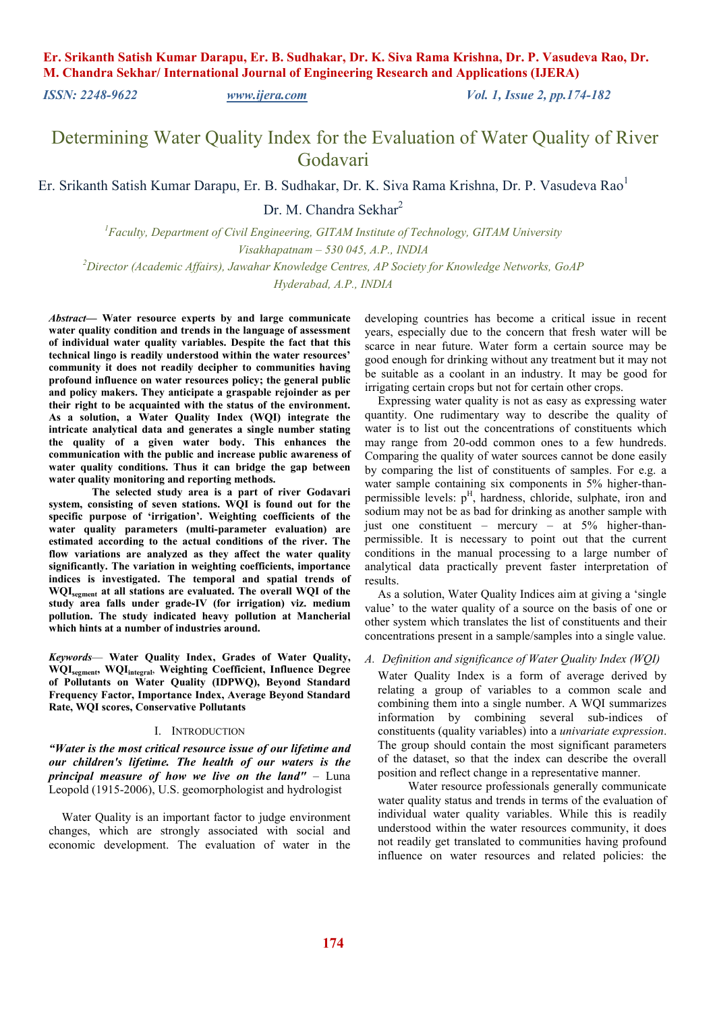*ISSN: 2248-9622 [www.ijera.com](http://www.ijera.com/) Vol. 1, Issue 2, pp.174-182* 

Determining Water Quality Index for the Evaluation of Water Quality of River Godavari

Er. Srikanth Satish Kumar Darapu, Er. B. Sudhakar, Dr. K. Siva Rama Krishna, Dr. P. Vasudeva Rao<sup>1</sup>

Dr. M. Chandra Sekhar<sup>2</sup>

*<sup>1</sup>Faculty, Department of Civil Engineering, GITAM Institute of Technology, GITAM University Visakhapatnam – 530 045, A.P., INDIA* 

*<sup>2</sup>Director (Academic Affairs), Jawahar Knowledge Centres, AP Society for Knowledge Networks, GoAP Hyderabad, A.P., INDIA* 

*Abstract***— Water resource experts by and large communicate water quality condition and trends in the language of assessment of individual water quality variables. Despite the fact that this technical lingo is readily understood within the water resources' community it does not readily decipher to communities having profound influence on water resources policy; the general public and policy makers. They anticipate a graspable rejoinder as per their right to be acquainted with the status of the environment. As a solution, a Water Quality Index (WQI) integrate the intricate analytical data and generates a single number stating the quality of a given water body. This enhances the communication with the public and increase public awareness of water quality conditions. Thus it can bridge the gap between water quality monitoring and reporting methods.** 

**The selected study area is a part of river Godavari system, consisting of seven stations. WQI is found out for the specific purpose of 'irrigation'. Weighting coefficients of the water quality parameters (multi-parameter evaluation) are estimated according to the actual conditions of the river. The flow variations are analyzed as they affect the water quality significantly. The variation in weighting coefficients, importance indices is investigated. The temporal and spatial trends of WQIsegment at all stations are evaluated. The overall WQI of the study area falls under grade-IV (for irrigation) viz. medium pollution. The study indicated heavy pollution at Mancherial which hints at a number of industries around.** 

*Keywords*— **Water Quality Index, Grades of Water Quality, WQIsegment, WQIintegral**, **Weighting Coefficient, Influence Degree of Pollutants on Water Quality (IDPWQ), Beyond Standard Frequency Factor, Importance Index, Average Beyond Standard Rate, WQI scores, Conservative Pollutants** 

#### I. INTRODUCTION

*"Water is the most critical resource issue of our lifetime and our children's lifetime. The health of our waters is the principal measure of how we live on the land"* – Luna Leopold (1915-2006), U.S. geomorphologist and hydrologist

Water Quality is an important factor to judge environment changes, which are strongly associated with social and economic development. The evaluation of water in the developing countries has become a critical issue in recent years, especially due to the concern that fresh water will be scarce in near future. Water form a certain source may be good enough for drinking without any treatment but it may not be suitable as a coolant in an industry. It may be good for irrigating certain crops but not for certain other crops.

Expressing water quality is not as easy as expressing water quantity. One rudimentary way to describe the quality of water is to list out the concentrations of constituents which may range from 20-odd common ones to a few hundreds. Comparing the quality of water sources cannot be done easily by comparing the list of constituents of samples. For e.g. a water sample containing six components in 5% higher-thanpermissible levels:  $p<sup>H</sup>$ , hardness, chloride, sulphate, iron and sodium may not be as bad for drinking as another sample with just one constituent – mercury – at  $5\%$  higher-thanpermissible. It is necessary to point out that the current conditions in the manual processing to a large number of analytical data practically prevent faster interpretation of results.

As a solution, Water Quality Indices aim at giving a 'single value' to the water quality of a source on the basis of one or other system which translates the list of constituents and their concentrations present in a sample/samples into a single value.

## *A. Definition and significance of Water Quality Index (WQI)*

Water Quality Index is a form of average derived by relating a group of variables to a common scale and combining them into a single number. A WQI summarizes information by combining several sub-indices of constituents (quality variables) into a *univariate expression*. The group should contain the most significant parameters of the dataset, so that the index can describe the overall position and reflect change in a representative manner.

 Water resource professionals generally communicate water quality status and trends in terms of the evaluation of individual water quality variables. While this is readily understood within the water resources community, it does not readily get translated to communities having profound influence on water resources and related policies: the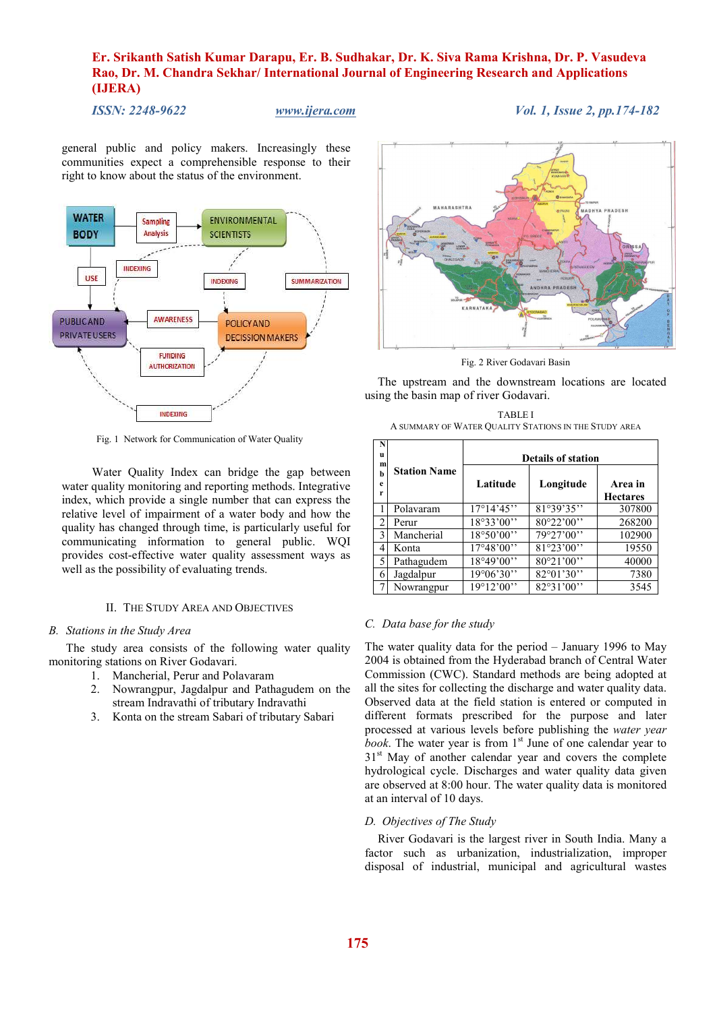*ISSN: 2248-9622 www.ijera.com Vol. 1, Issue 2, pp.174-182* 

general public and policy makers. Increasingly these communities expect a comprehensible response to their right to know about the status of the environment.



Fig. 1 Network for Communication of Water Quality

Water Quality Index can bridge the gap between water quality monitoring and reporting methods. Integrative index, which provide a single number that can express the relative level of impairment of a water body and how the quality has changed through time, is particularly useful for communicating information to general public. WQI provides cost-effective water quality assessment ways as well as the possibility of evaluating trends.

## II. THE STUDY AREA AND OBJECTIVES

## *B. Stations in the Study Area*

The study area consists of the following water quality monitoring stations on River Godavari.

- 1. Mancherial, Perur and Polavaram
- 2. Nowrangpur, Jagdalpur and Pathagudem on the stream Indravathi of tributary Indravathi
- 3. Konta on the stream Sabari of tributary Sabari



Fig. 2 River Godavari Basin

The upstream and the downstream locations are located using the basin map of river Godavari.

| <b>TABLE I</b>                                        |
|-------------------------------------------------------|
| A SUMMARY OF WATER QUALITY STATIONS IN THE STUDY AREA |

| N<br>u<br>m    |                     | <b>Details of station</b> |                     |                            |  |
|----------------|---------------------|---------------------------|---------------------|----------------------------|--|
| h<br>e<br>r    | <b>Station Name</b> | Latitude                  | Longitude           | Area in<br><b>Hectares</b> |  |
|                | Polavaram           | $17^{\circ}14'45''$       | 81°39'35"           | 307800                     |  |
| $\overline{c}$ | Perur               | 18°33'00"                 | $80^{\circ}22'00''$ | 268200                     |  |
| 3              | Mancherial          | 18°50'00"                 | 79°27'00"           | 102900                     |  |
| 4              | Konta               | 17°48'00"                 | 81°23'00"           | 19550                      |  |
| 5              | Pathagudem          | 18°49'00"                 | 80°21'00"           | 40000                      |  |
| 6              | Jagdalpur           | 19°06'30"                 | $82^{\circ}01'30''$ | 7380                       |  |
|                | Nowrangpur          | $19^{\circ}12'00''$       | 82°31'00"           | 3545                       |  |

### *C. Data base for the study*

The water quality data for the period – January 1996 to May 2004 is obtained from the Hyderabad branch of Central Water Commission (CWC). Standard methods are being adopted at all the sites for collecting the discharge and water quality data. Observed data at the field station is entered or computed in different formats prescribed for the purpose and later processed at various levels before publishing the *water year*   $\overline{book}$ . The water year is from  $1<sup>st</sup>$  June of one calendar year to 31<sup>st</sup> May of another calendar year and covers the complete hydrological cycle. Discharges and water quality data given are observed at 8:00 hour. The water quality data is monitored at an interval of 10 days.

#### *D. Objectives of The Study*

River Godavari is the largest river in South India. Many a factor such as urbanization, industrialization, improper disposal of industrial, municipal and agricultural wastes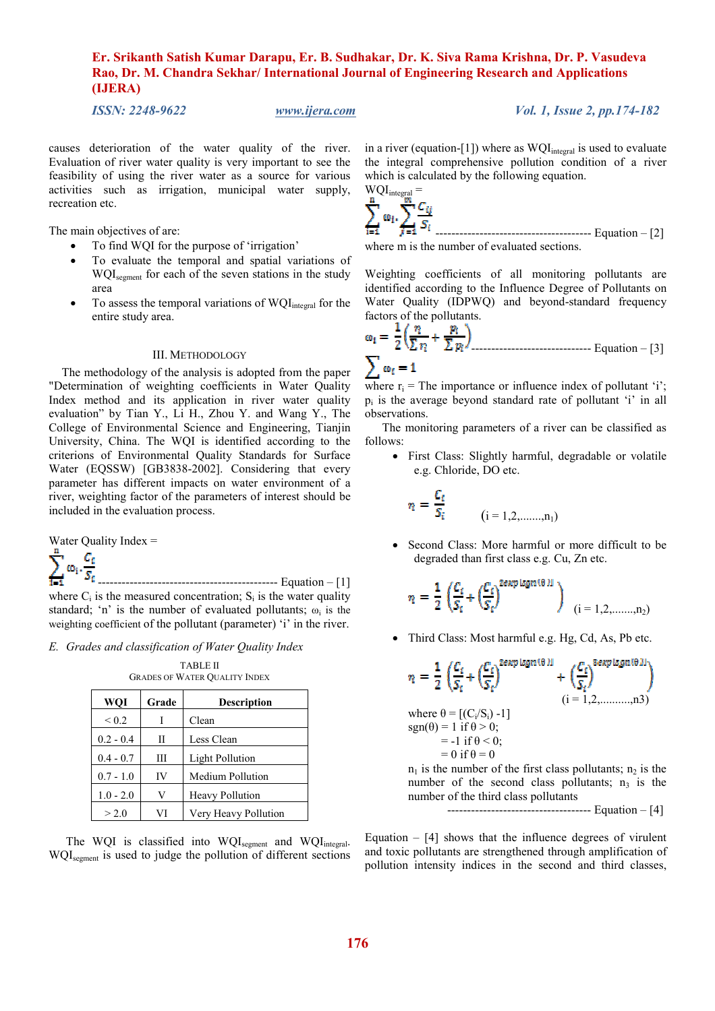*ISSN: 2248-9622 www.ijera.com Vol. 1, Issue 2, pp.174-182* 

causes deterioration of the water quality of the river. Evaluation of river water quality is very important to see the feasibility of using the river water as a source for various activities such as irrigation, municipal water supply, recreation etc.

The main objectives of are:

- To find WQI for the purpose of 'irrigation'
- To evaluate the temporal and spatial variations of WQI<sub>segment</sub> for each of the seven stations in the study area
- To assess the temporal variations of  $WQI<sub>integral</sub>$  for the entire study area.

### III. METHODOLOGY

The methodology of the analysis is adopted from the paper "Determination of weighting coefficients in Water Quality Index method and its application in river water quality evaluation" by Tian Y., Li H., Zhou Y. and Wang Y., The College of Environmental Science and Engineering, Tianjin University, China. The WQI is identified according to the criterions of Environmental Quality Standards for Surface Water (EQSSW) [GB3838-2002]. Considering that every parameter has different impacts on water environment of a river, weighting factor of the parameters of interest should be included in the evaluation process.

Water Quality Index =



 --------------------------------------------- Equation – [1] where  $C_i$  is the measured concentration;  $S_i$  is the water quality standard; 'n' is the number of evaluated pollutants;  $\omega_i$  is the weighting coefficient of the pollutant (parameter) 'i' in the river.

*E. Grades and classification of Water Quality Index* 

| <b>TABLE II</b>                      |
|--------------------------------------|
| <b>GRADES OF WATER QUALITY INDEX</b> |

| WQI         | Grade | <b>Description</b>     |
|-------------|-------|------------------------|
| ${}_{0.2}$  |       | Clean                  |
| $0.2 - 0.4$ | Н     | Less Clean             |
| $0.4 - 0.7$ | Ш     | <b>Light Pollution</b> |
| $0.7 - 1.0$ | IV    | Medium Pollution       |
| $1.0 - 2.0$ | V     | <b>Heavy Pollution</b> |
| > 2.0       | VI    | Very Heavy Pollution   |

The WQI is classified into  $WQI_{\text{segment}}$  and  $WQI_{\text{integral}}$ . WQIsegment is used to judge the pollution of different sections in a river (equation-[1]) where as  $WQI<sub>integral</sub>$  is used to evaluate the integral comprehensive pollution condition of a river which is calculated by the following equation.





Weighting coefficients of all monitoring pollutants are identified according to the Influence Degree of Pollutants on Water Quality (IDPWQ) and beyond-standard frequency factors of the pollutants.

$$
\omega_{i} = \frac{1}{2} \left( \frac{\eta}{\sum \eta_{i}} + \frac{\eta_{i}}{\sum \eta_{i}} \right)
$$
  

$$
\sum \omega_{i} = 1
$$

where  $r_i$  = The importance or influence index of pollutant 'i'; pi is the average beyond standard rate of pollutant 'i' in all observations.

The monitoring parameters of a river can be classified as follows:

• First Class: Slightly harmful, degradable or volatile e.g. Chloride, DO etc.

$$
n_i = \frac{C_i}{S_i}
$$
   
  $(i = 1, 2, \dots, n_1)$ 

• Second Class: More harmful or more difficult to be degraded than first class e.g. Cu, Zn etc.

$$
\eta_i = \frac{1}{2} \left( \frac{C_i}{S_i} + \left( \frac{C_i}{S_i} \right)^{2\exp\log n(\theta)1} \right)_{(i = 1, 2, \dots, n_2)}
$$

• Third Class: Most harmful e.g. Hg, Cd, As, Pb etc.

$$
\eta_{i} = \frac{1}{2} \left( \frac{C_{i}}{S_{i}} + \left( \frac{C_{i}}{S_{i}} \right)^{2\exp\log n(\theta)l} + \left( \frac{C_{i}}{S_{i}} \right)^{3\exp\log n(\theta)l} \right)
$$
\nwhere  $\theta = [(C_{i}/S_{i}) - 1]$   
\nsgn(\theta) = 1 if  $\theta > 0$ ;  
\n= -1 if  $\theta < 0$ ;  
\n= 0 if  $\theta = 0$   
\n= 0 if  $\theta = 0$ 

 $n_1$  is the number of the first class pollutants;  $n_2$  is the number of the second class pollutants;  $n_3$  is the number of the third class pollutants

------------------------------------ Equation – [4]

Equation  $-$  [4] shows that the influence degrees of virulent and toxic pollutants are strengthened through amplification of pollution intensity indices in the second and third classes,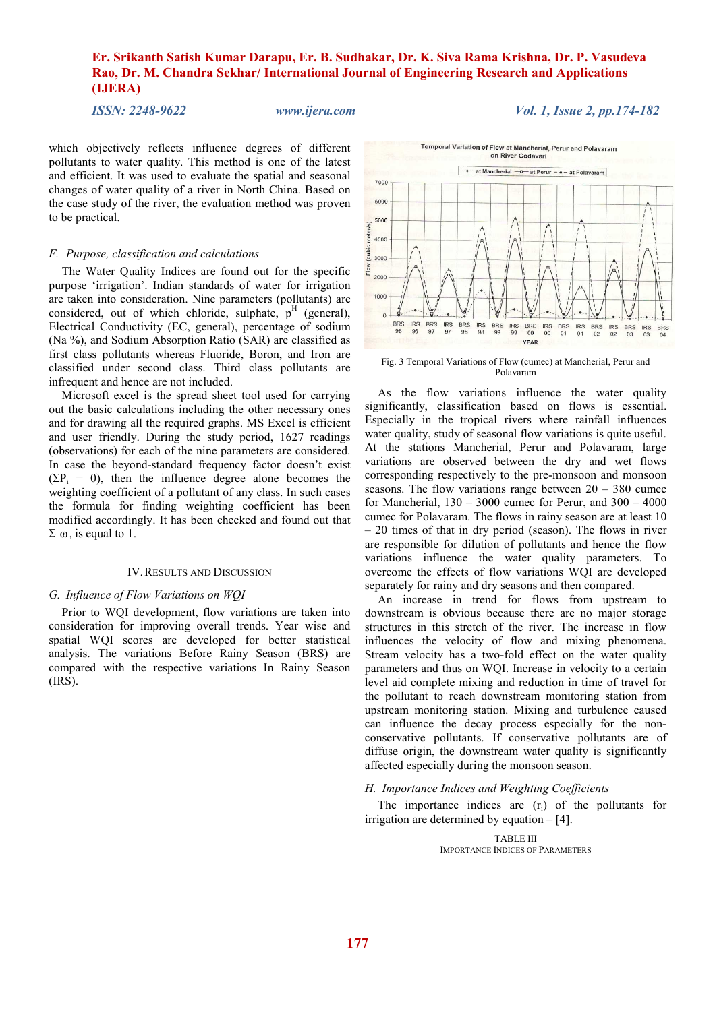*ISSN: 2248-9622 www.ijera.com Vol. 1, Issue 2, pp.174-182* 

which objectively reflects influence degrees of different pollutants to water quality. This method is one of the latest and efficient. It was used to evaluate the spatial and seasonal changes of water quality of a river in North China. Based on the case study of the river, the evaluation method was proven to be practical.

### *F. Purpose, classification and calculations*

The Water Quality Indices are found out for the specific purpose 'irrigation'. Indian standards of water for irrigation are taken into consideration. Nine parameters (pollutants) are considered, out of which chloride, sulphate,  $p<sup>H</sup>$  (general), Electrical Conductivity (EC, general), percentage of sodium (Na %), and Sodium Absorption Ratio (SAR) are classified as first class pollutants whereas Fluoride, Boron, and Iron are classified under second class. Third class pollutants are infrequent and hence are not included.

Microsoft excel is the spread sheet tool used for carrying out the basic calculations including the other necessary ones and for drawing all the required graphs. MS Excel is efficient and user friendly. During the study period, 1627 readings (observations) for each of the nine parameters are considered. In case the beyond-standard frequency factor doesn't exist  $(\Sigma P_i = 0)$ , then the influence degree alone becomes the weighting coefficient of a pollutant of any class. In such cases the formula for finding weighting coefficient has been modified accordingly. It has been checked and found out that  $\Sigma$  ω; is equal to 1.

### IV.RESULTS AND DISCUSSION

### *G. Influence of Flow Variations on WQI*

Prior to WQI development, flow variations are taken into consideration for improving overall trends. Year wise and spatial WQI scores are developed for better statistical analysis. The variations Before Rainy Season (BRS) are compared with the respective variations In Rainy Season (IRS).



Fig. 3 Temporal Variations of Flow (cumec) at Mancherial, Perur and Polavaram

As the flow variations influence the water quality significantly, classification based on flows is essential. Especially in the tropical rivers where rainfall influences water quality, study of seasonal flow variations is quite useful. At the stations Mancherial, Perur and Polavaram, large variations are observed between the dry and wet flows corresponding respectively to the pre-monsoon and monsoon seasons. The flow variations range between  $20 - 380$  cumec for Mancherial,  $130 - 3000$  cumec for Perur, and  $300 - 4000$ cumec for Polavaram. The flows in rainy season are at least 10 – 20 times of that in dry period (season). The flows in river are responsible for dilution of pollutants and hence the flow variations influence the water quality parameters. To overcome the effects of flow variations WQI are developed separately for rainy and dry seasons and then compared.

An increase in trend for flows from upstream to downstream is obvious because there are no major storage structures in this stretch of the river. The increase in flow influences the velocity of flow and mixing phenomena. Stream velocity has a two-fold effect on the water quality parameters and thus on WQI. Increase in velocity to a certain level aid complete mixing and reduction in time of travel for the pollutant to reach downstream monitoring station from upstream monitoring station. Mixing and turbulence caused can influence the decay process especially for the nonconservative pollutants. If conservative pollutants are of diffuse origin, the downstream water quality is significantly affected especially during the monsoon season.

### *H. Importance Indices and Weighting Coefficients*

The importance indices are  $(r<sub>i</sub>)$  of the pollutants for irrigation are determined by equation – [4].

> TABLE III IMPORTANCE INDICES OF PARAMETERS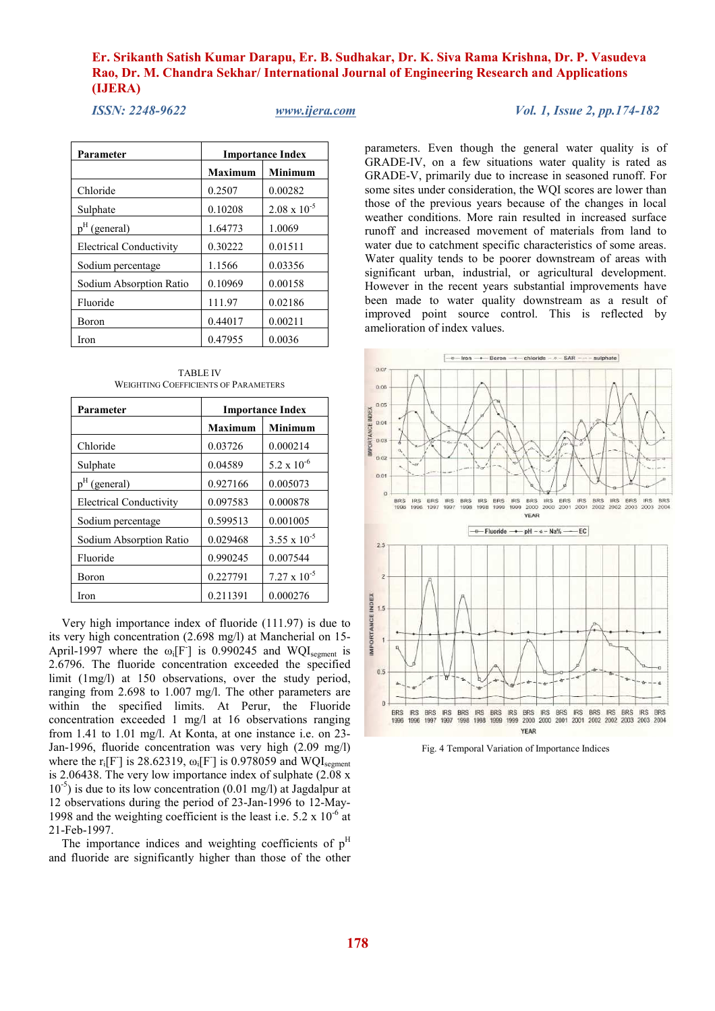**Parameter** Importance Index **Maximum | Minimum** Chloride 0.2507 0.00282 Sulphate  $0.10208$   $2.08 \times 10^{-5}$ p<sup>H</sup> (general) 1.64773 1.0069 Electrical Conductivity 0.30222 0.01511 Sodium percentage 1.1566 0.03356 Sodium Absorption Ratio  $\begin{array}{|c|c|c|c|c|c|} \hline 0.10969 & 0.00158 \hline \end{array}$ Fluoride 111.97 0.02186 Boron 0.44017 0.00211 Iron 0.47955 0.0036

TABLE IV WEIGHTING COEFFICIENTS OF PARAMETERS

| Parameter                      | <b>Importance Index</b> |                       |  |
|--------------------------------|-------------------------|-----------------------|--|
|                                | <b>Maximum</b>          | <b>Minimum</b>        |  |
| Chloride                       | 0.03726                 | 0.000214              |  |
| Sulphate                       | 0.04589                 | $5.2 \times 10^{-6}$  |  |
| $pH$ (general)                 | 0.927166                | 0.005073              |  |
| <b>Electrical Conductivity</b> | 0.097583                | 0.000878              |  |
| Sodium percentage              | 0.599513                | 0.001005              |  |
| Sodium Absorption Ratio        | 0.029468                | $3.55 \times 10^{-5}$ |  |
| Fluoride                       | 0.990245                | 0.007544              |  |
| <b>Boron</b>                   | 0.227791                | $7.27 \times 10^{-5}$ |  |
| Iron                           | 0.211391                | 0.000276              |  |

Very high importance index of fluoride (111.97) is due to its very high concentration (2.698 mg/l) at Mancherial on 15- April-1997 where the  $\omega_i[F$ ] is 0.990245 and WQI<sub>segment</sub> is 2.6796. The fluoride concentration exceeded the specified limit (1mg/l) at 150 observations, over the study period, ranging from 2.698 to 1.007 mg/l. The other parameters are within the specified limits. At Perur, the Fluoride concentration exceeded 1 mg/l at 16 observations ranging from 1.41 to 1.01 mg/l. At Konta, at one instance i.e. on 23- Jan-1996, fluoride concentration was very high (2.09 mg/l) where the  $r_i[F]$  is 28.62319,  $\omega_i[F]$  is 0.978059 and WQI<sub>segment</sub> is 2.06438. The very low importance index of sulphate  $(2.08 \text{ x})$  $10^{-5}$ ) is due to its low concentration (0.01 mg/l) at Jagdalpur at 12 observations during the period of 23-Jan-1996 to 12-May-1998 and the weighting coefficient is the least i.e.  $5.2 \times 10^{-6}$  at 21-Feb-1997.

The importance indices and weighting coefficients of  $p<sup>H</sup>$ and fluoride are significantly higher than those of the other parameters. Even though the general water quality is of GRADE-IV, on a few situations water quality is rated as GRADE-V, primarily due to increase in seasoned runoff. For some sites under consideration, the WQI scores are lower than those of the previous years because of the changes in local weather conditions. More rain resulted in increased surface runoff and increased movement of materials from land to water due to catchment specific characteristics of some areas. Water quality tends to be poorer downstream of areas with significant urban, industrial, or agricultural development. However in the recent years substantial improvements have

been made to water quality downstream as a result of

improved point source control. This is reflected by amelioration of index values.  $\boxed{-0 - \text{iron} - \text{+} - \text{Born} - \text{--} - \text{chloride} - \circ - \text{SAR} - \cdots - \text{subplate}}$  $0.07$  $0.06$  $0.05$ IMPORTANCE INDEX  $0.04$  $0.03$  $0<sup>o</sup>$  $0.0$ **BRS**<br>1996 IRS<br>1996 BRS IRS<br>1997 1997 **BRS**<br>1998 IRS<br>1998 BRS<br>1999 IRS<br>1999 **BRS** VEAD  $-$  - Fluoride  $-$  - pH - a - Na% - $-EC$  $25$ **INDEX** 15 **IMPORTANCE**  $\ddot{ }$  $0.5$  $\overline{0}$ BRS **BRS IRS** BRS **IRS BRS IRS** 1997 1997 1998 1998 1999 1996 1996 **YEAR** 

Fig. 4 Temporal Variation of Importance Indices

 *ISSN: 2248-9622 www.ijera.com Vol. 1, Issue 2, pp.174-182*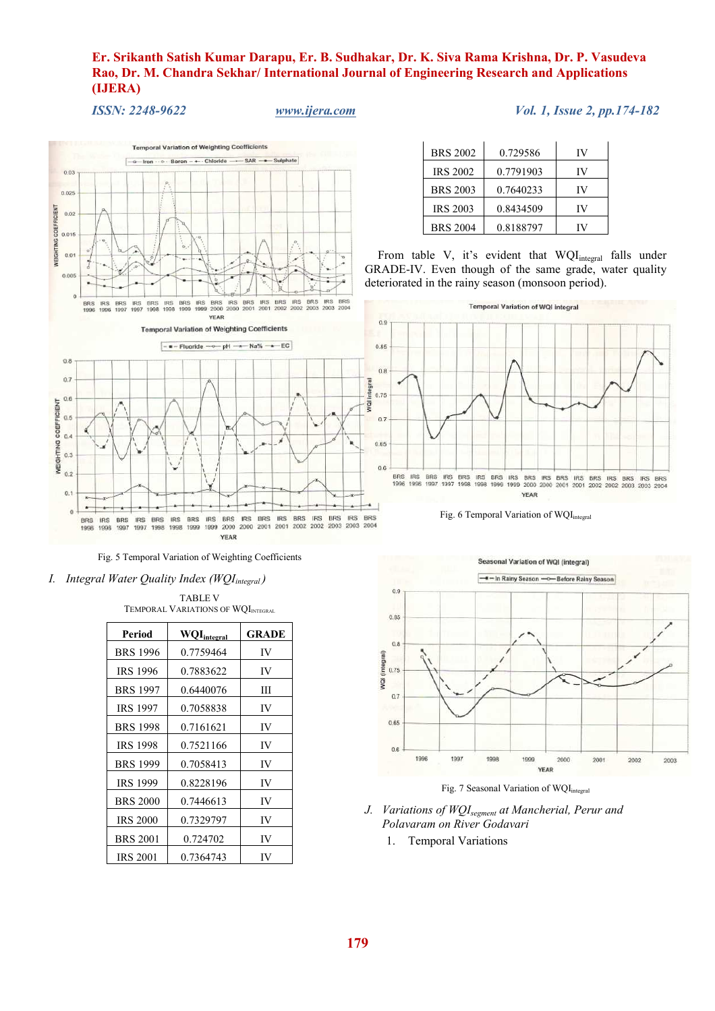*ISSN: 2248-9622 www.ijera.com Vol. 1, Issue 2, pp.174-182* 





YEAR

*I. Integral Water Quality Index (WQIintegral )* 

TABLE V TEMPORAL VARIATIONS OF WQI<sub>INTEGRAL</sub>

| Period          | <b>WQI</b> integral | <b>GRADE</b> |
|-----------------|---------------------|--------------|
| <b>BRS 1996</b> | 0.7759464           | IV           |
| <b>IRS 1996</b> | 0.7883622           | IV           |
| <b>BRS 1997</b> | 0.6440076           | Ш            |
| <b>IRS 1997</b> | 0.7058838           | IV           |
| <b>BRS 1998</b> | 0.7161621           | IV           |
| <b>IRS 1998</b> | 0.7521166           | IV           |
| <b>BRS 1999</b> | 0.7058413           | IV           |
| <b>IRS 1999</b> | 0.8228196           | IV           |
| <b>BRS 2000</b> | 0.7446613           | IV           |
| <b>IRS 2000</b> | 0.7329797           | IV           |
| <b>BRS 2001</b> | 0.724702            | IV           |
| <b>IRS 2001</b> | 0.7364743           | IV           |

| <b>BRS 2002</b> | 0.729586  | IV |
|-----------------|-----------|----|
| <b>IRS 2002</b> | 0.7791903 | IV |
| <b>BRS 2003</b> | 0.7640233 | IV |
| <b>IRS 2003</b> | 0.8434509 | IV |
| <b>BRS 2004</b> | 0.8188797 |    |

From table V, it's evident that WQI<sub>integral</sub> falls under GRADE-IV. Even though of the same grade, water quality deteriorated in the rainy season (monsoon period).









- *J. Variations of WQIsegment at Mancherial, Perur and Polavaram on River Godavari* 
	- 1. Temporal Variations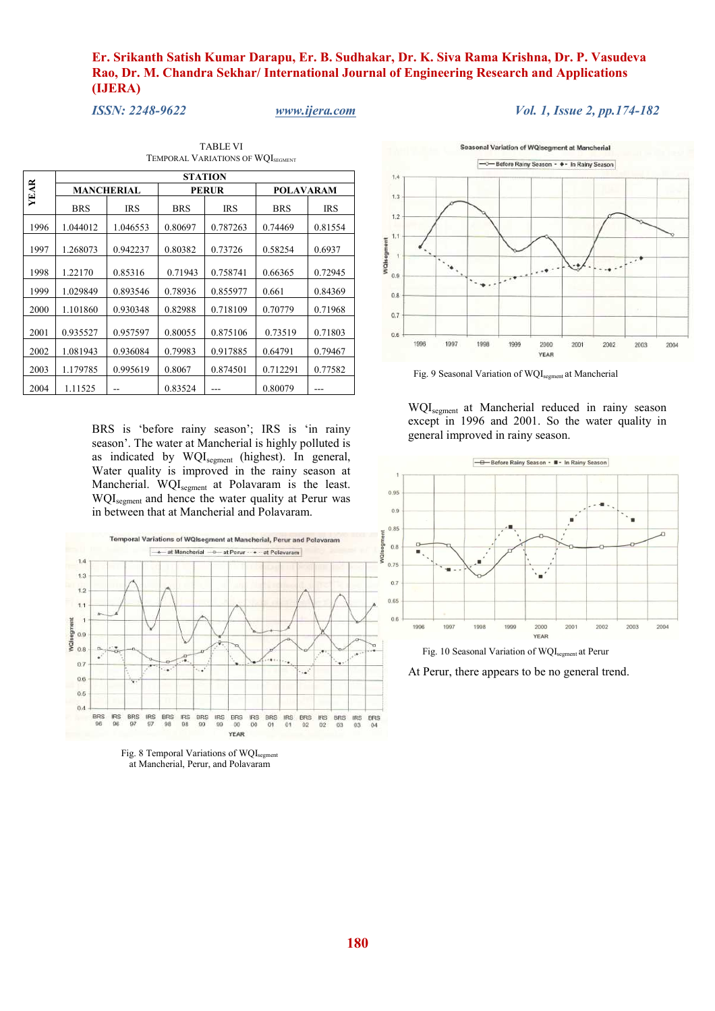*ISSN: 2248-9622 www.ijera.com Vol. 1, Issue 2, pp.174-182* 

TABLE VI TEMPORAL VARIATIONS OF WQI<sub>SEGMENT</sub>

|             |            |                                   |            | <b>STATION</b> |                  |            |
|-------------|------------|-----------------------------------|------------|----------------|------------------|------------|
| <b>YEAR</b> |            | <b>MANCHERIAL</b><br><b>PERUR</b> |            |                | <b>POLAVARAM</b> |            |
|             | <b>BRS</b> | <b>IRS</b>                        | <b>BRS</b> | <b>IRS</b>     | <b>BRS</b>       | <b>IRS</b> |
| 1996        | 1.044012   | 1.046553                          | 0.80697    | 0.787263       | 0.74469          | 0.81554    |
| 1997        | 1.268073   | 0.942237                          | 0.80382    | 0.73726        | 0.58254          | 0.6937     |
| 1998        | 1.22170    | 0.85316                           | 0.71943    | 0.758741       | 0.66365          | 0.72945    |
| 1999        | 1.029849   | 0.893546                          | 0.78936    | 0.855977       | 0.661            | 0.84369    |
| 2000        | 1.101860   | 0.930348                          | 0.82988    | 0.718109       | 0.70779          | 0.71968    |
| 2001        | 0.935527   | 0.957597                          | 0.80055    | 0.875106       | 0.73519          | 0.71803    |
| 2002        | 1.081943   | 0.936084                          | 0.79983    | 0.917885       | 0.64791          | 0.79467    |
| 2003        | 1.179785   | 0.995619                          | 0.8067     | 0.874501       | 0.712291         | 0.77582    |
| 2004        | 1.11525    |                                   | 0.83524    |                | 0.80079          |            |

BRS is 'before rainy season'; IRS is 'in rainy season'. The water at Mancherial is highly polluted is as indicated by WQI<sub>segment</sub> (highest). In general, Water quality is improved in the rainy season at Mancherial. WQI<sub>segment</sub> at Polavaram is the least. WQI<sub>segment</sub> and hence the water quality at Perur was in between that at Mancherial and Polavaram.



Fig. 8 Temporal Variations of WQI<sub>segment</sub> at Mancherial, Perur, and Polavaram



Fig. 9 Seasonal Variation of WQIsegment at Mancherial

WQIsegment at Mancherial reduced in rainy season except in 1996 and 2001. So the water quality in general improved in rainy season.



Fig. 10 Seasonal Variation of WQI<sub>segment</sub> at Perur

At Perur, there appears to be no general trend.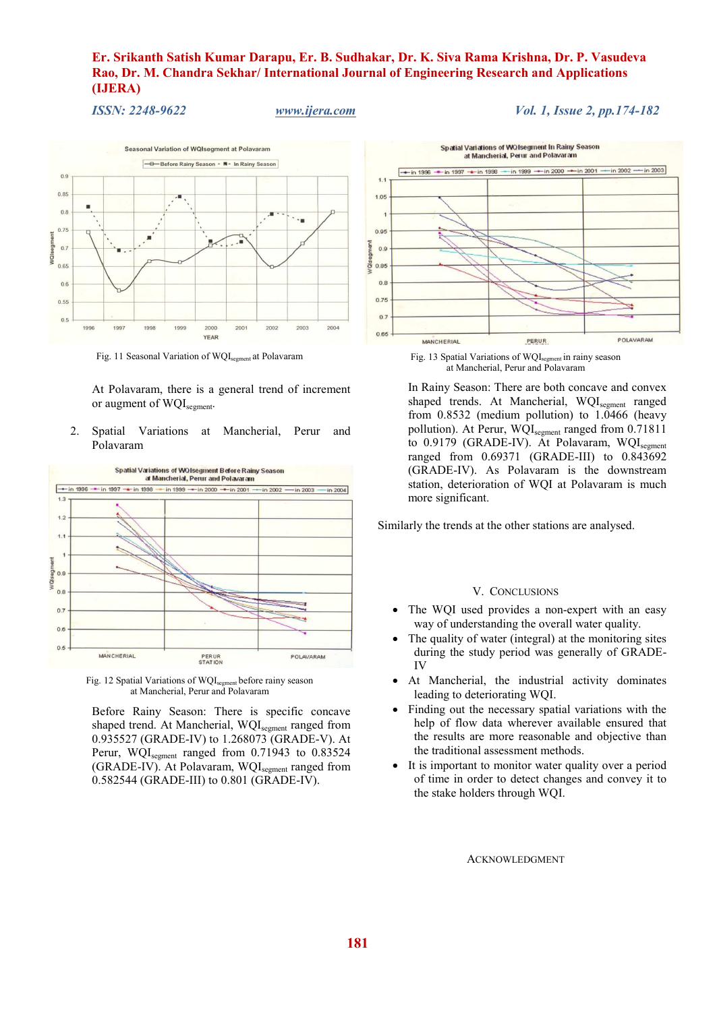*ISSN: 2248-9622 www.ijera.com Vol. 1, Issue 2, pp.174-182* 



Fig. 11 Seasonal Variation of WQI<sub>segment</sub> at Polavaram

At Polavaram, there is a general trend of increment or augment of  $WQI_{\text{segment}}$ .

2. Spatial Variations at Mancherial, Perur and Polavaram



Fig. 12 Spatial Variations of WQI<sub>segment</sub> before rainy season at Mancherial, Perur and Polavaram

Before Rainy Season: There is specific concave shaped trend. At Mancherial, WQI<sub>segment</sub> ranged from 0.935527 (GRADE-IV) to 1.268073 (GRADE-V). At Perur, WQI<sub>segment</sub> ranged from 0.71943 to 0.83524 (GRADE-IV). At Polavaram, WQI<sub>segment</sub> ranged from 0.582544 (GRADE-III) to 0.801 (GRADE-IV).



Fig. 13 Spatial Variations of WQI<sub>segment</sub> in rainy season at Mancherial, Perur and Polavaram

In Rainy Season: There are both concave and convex shaped trends. At Mancherial, WQI<sub>segment</sub> ranged from  $0.8532$  (medium pollution) to  $1.0466$  (heavy pollution). At Perur, WQI<sub>segment</sub> ranged from 0.71811 to 0.9179 (GRADE-IV). At Polavaram, WQI<sub>segment</sub> ranged from 0.69371 (GRADE-III) to 0.843692 (GRADE-IV). As Polavaram is the downstream station, deterioration of WQI at Polavaram is much more significant.

Similarly the trends at the other stations are analysed.

### V. CONCLUSIONS

- The WQI used provides a non-expert with an easy way of understanding the overall water quality.
- The quality of water (integral) at the monitoring sites during the study period was generally of GRADE-IV
- At Mancherial, the industrial activity dominates leading to deteriorating WQI.
- Finding out the necessary spatial variations with the help of flow data wherever available ensured that the results are more reasonable and objective than the traditional assessment methods.
- It is important to monitor water quality over a period of time in order to detect changes and convey it to the stake holders through WQI.

ACKNOWLEDGMENT